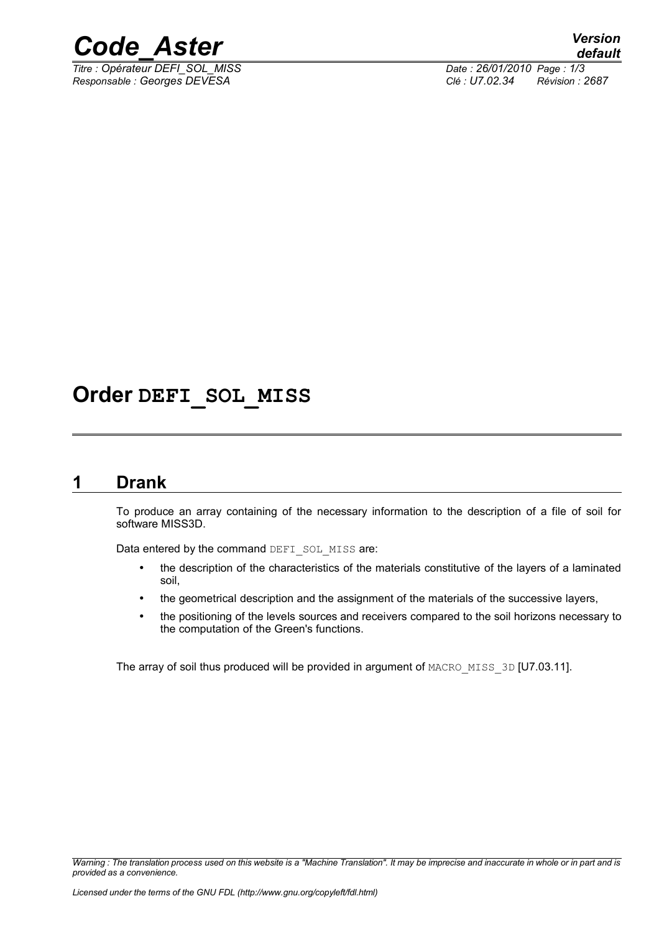

*Titre : Opérateur DEFI\_SOL\_MISS Date : 26/01/2010 Page : 1/3 Responsable : Georges DEVESA Clé : U7.02.34 Révision : 2687*

# **Order DEFI\_SOL\_MISS**

## **1 Drank**

To produce an array containing of the necessary information to the description of a file of soil for software MISS3D.

Data entered by the command DEFI\_SOL\_MISS are:

- the description of the characteristics of the materials constitutive of the layers of a laminated soil,
- the geometrical description and the assignment of the materials of the successive layers,
- the positioning of the levels sources and receivers compared to the soil horizons necessary to the computation of the Green's functions.

The array of soil thus produced will be provided in argument of MACRO\_MISS\_3D [U7.03.11].

*Warning : The translation process used on this website is a "Machine Translation". It may be imprecise and inaccurate in whole or in part and is provided as a convenience.*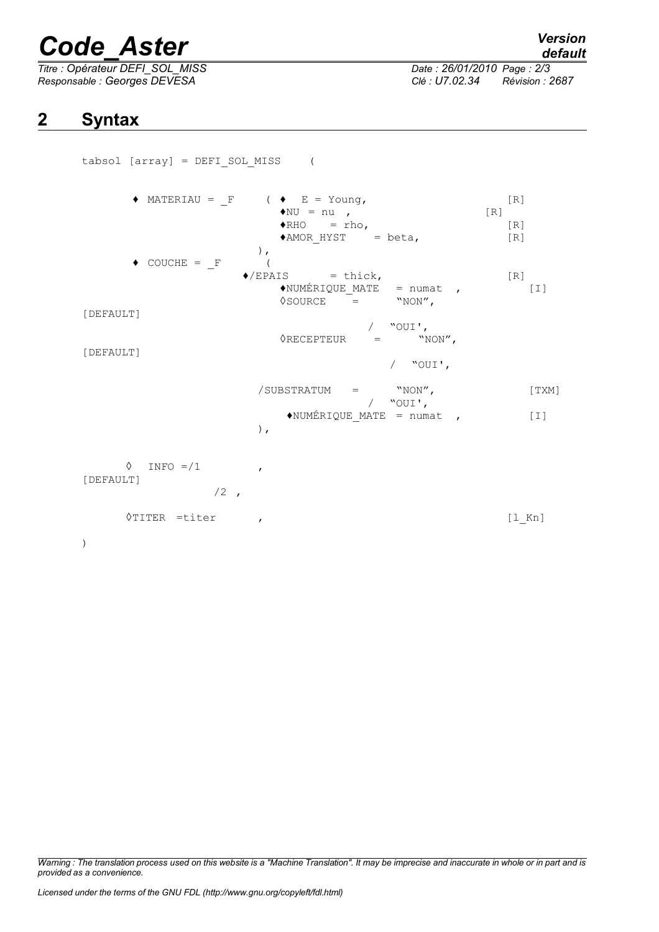# *Code\_Aster Version*

*Titre : Opérateur DEFI\_SOL\_MISS Date : 26/01/2010 Page : 2/3 Responsable : Georges DEVESA Clé : U7.02.34 Révision : 2687*

# **2 Syntax**

tabsol [array] = DEFI\_SOL\_MISS (

 $\blacklozenge$  MATERIAU = F (  $\blacklozenge$  E = Young, [R]  $\bigstar$ NU = nu ,<br>  $\bigstar$ RHO = rho,<br>  $\bigstar$ RHO = rho,  $=$  rho,  $[R]$ <br>HYST  $=$  beta,  $[R]$  $*AMOR$  HYST = beta,  $[R]$ ),  $\bullet$  COUCHE =  $_F$  (<br> $\bullet$ /EPAIS = thick,<br>QUE MATE = numat , [R]  $\triangle$ NUMÉRIQUE MATE = numat , [I]  $\Diamond$ SOURCE = "NON", [DEFAULT] / "OUI',<br>= "NON",  $\Diamond$ RECEPTEUR = [DEFAULT] / "OUI',  $\begin{array}{ccc} \text{{\tt /SUBSTRATUM}} & = & \text{{\tt "NON}'\text{\tt ,}} \\ & \text{{\tt /} & \text{{\tt "OUT'}}\text{\tt ,}} \\ \end{array} \hspace{2cm} \begin{array}{c} \text{{\tt [TXM]}} \\ \end{array}$ / "OUI',  $\triangleleft$ NUMÉRIQUE MATE = numat , [I] ),  $\Diamond$  INFO =/1 , [DEFAULT]  $/2$ , ◊TITER =titer , [l\_Kn] )

*Warning : The translation process used on this website is a "Machine Translation". It may be imprecise and inaccurate in whole or in part and is provided as a convenience.*